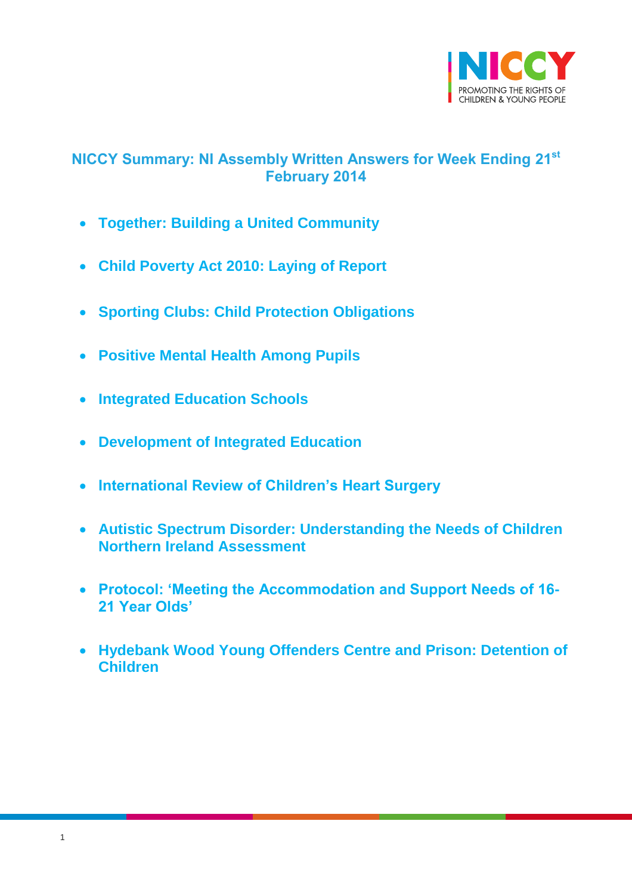

# <span id="page-0-0"></span>**NICCY Summary: NI Assembly Written Answers for Week Ending 21st February 2014**

- **[Together: Building a United Community](#page-1-0)**
- **[Child Poverty Act 2010: Laying of Report](#page-1-1)**
- **[Sporting Clubs: Child Protection Obligations](#page-1-2)**
- **[Positive Mental Health Among Pupils](#page-2-0)**
- **[Integrated Education Schools](#page-4-0)**
- **[Development of Integrated Education](#page-4-1)**
- **[International Review of Children's Heart Surgery](#page-6-0)**
- **[Autistic Spectrum Disorder: Understanding the Needs of Children](#page-6-1)  [Northern Ireland Assessment](#page-6-1)**
- **[Protocol: 'Meeting the Accommodation and Support Needs of 16-](#page-7-0) [21 Year Olds'](#page-7-0)**
- **[Hydebank Wood Young Offenders Centre and Prison: Detention of](#page-8-0)  [Children](#page-8-0)**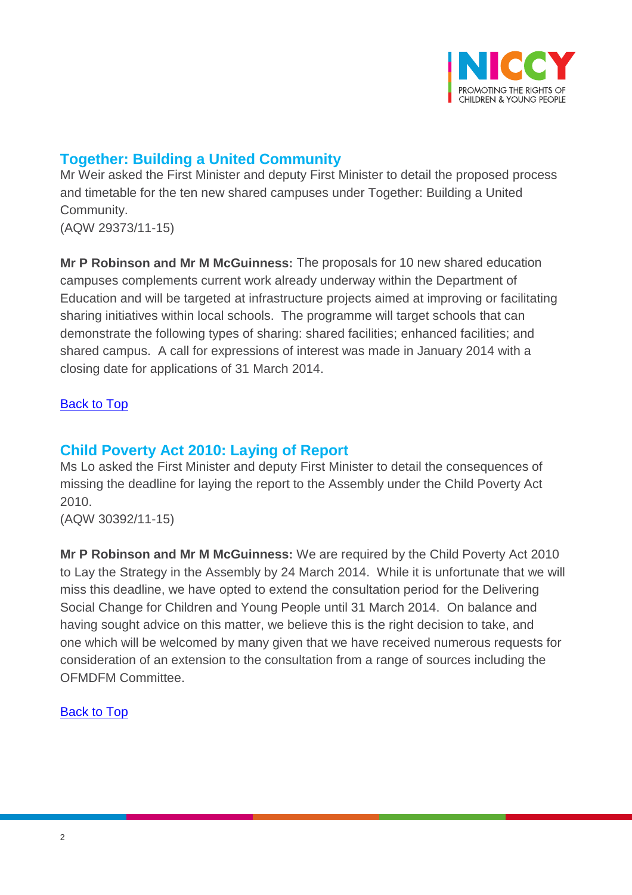

## <span id="page-1-0"></span>**Together: Building a United Community**

Mr Weir asked the First Minister and deputy First Minister to detail the proposed process and timetable for the ten new shared campuses under Together: Building a United Community. (AQW 29373/11-15)

**Mr P Robinson and Mr M McGuinness:** The proposals for 10 new shared education campuses complements current work already underway within the Department of Education and will be targeted at infrastructure projects aimed at improving or facilitating sharing initiatives within local schools. The programme will target schools that can demonstrate the following types of sharing: shared facilities; enhanced facilities; and shared campus. A call for expressions of interest was made in January 2014 with a closing date for applications of 31 March 2014.

#### <span id="page-1-1"></span>[Back to Top](#page-0-0)

### **Child Poverty Act 2010: Laying of Report**

Ms Lo asked the First Minister and deputy First Minister to detail the consequences of missing the deadline for laying the report to the Assembly under the Child Poverty Act 2010.

(AQW 30392/11-15)

<span id="page-1-2"></span>**Mr P Robinson and Mr M McGuinness:** We are required by the Child Poverty Act 2010 to Lay the Strategy in the Assembly by 24 March 2014. While it is unfortunate that we will miss this deadline, we have opted to extend the consultation period for the Delivering Social Change for Children and Young People until 31 March 2014. On balance and having sought advice on this matter, we believe this is the right decision to take, and one which will be welcomed by many given that we have received numerous requests for consideration of an extension to the consultation from a range of sources including the OFMDFM Committee.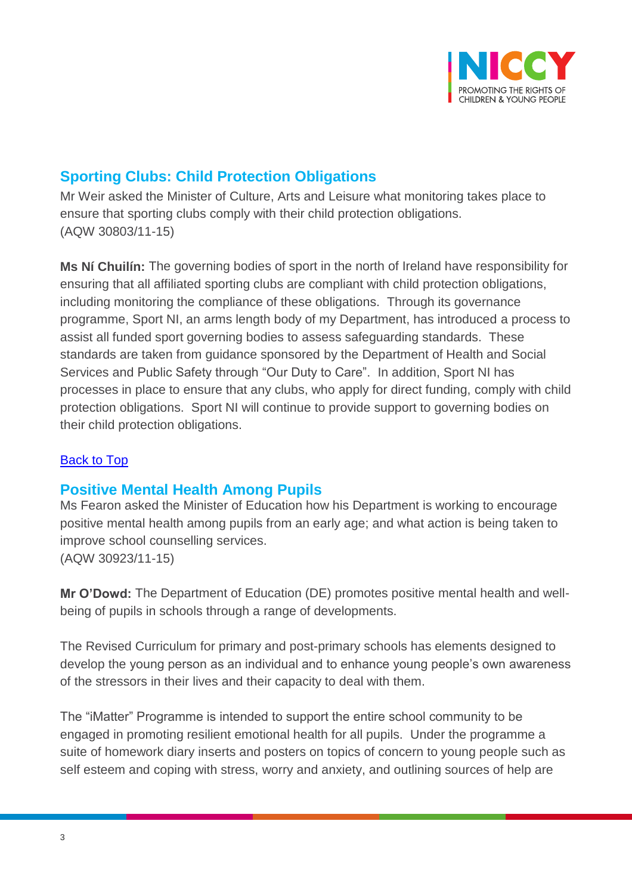

# **Sporting Clubs: Child Protection Obligations**

Mr Weir asked the Minister of Culture, Arts and Leisure what monitoring takes place to ensure that sporting clubs comply with their child protection obligations. (AQW 30803/11-15)

**Ms Ní Chuilín:** The governing bodies of sport in the north of Ireland have responsibility for ensuring that all affiliated sporting clubs are compliant with child protection obligations, including monitoring the compliance of these obligations. Through its governance programme, Sport NI, an arms length body of my Department, has introduced a process to assist all funded sport governing bodies to assess safeguarding standards. These standards are taken from guidance sponsored by the Department of Health and Social Services and Public Safety through "Our Duty to Care". In addition, Sport NI has processes in place to ensure that any clubs, who apply for direct funding, comply with child protection obligations. Sport NI will continue to provide support to governing bodies on their child protection obligations.

#### [Back to Top](#page-0-0)

### <span id="page-2-0"></span>**Positive Mental Health Among Pupils**

Ms Fearon asked the Minister of Education how his Department is working to encourage positive mental health among pupils from an early age; and what action is being taken to improve school counselling services. (AQW 30923/11-15)

**Mr O'Dowd:** The Department of Education (DE) promotes positive mental health and wellbeing of pupils in schools through a range of developments.

The Revised Curriculum for primary and post-primary schools has elements designed to develop the young person as an individual and to enhance young people's own awareness of the stressors in their lives and their capacity to deal with them.

The "iMatter" Programme is intended to support the entire school community to be engaged in promoting resilient emotional health for all pupils. Under the programme a suite of homework diary inserts and posters on topics of concern to young people such as self esteem and coping with stress, worry and anxiety, and outlining sources of help are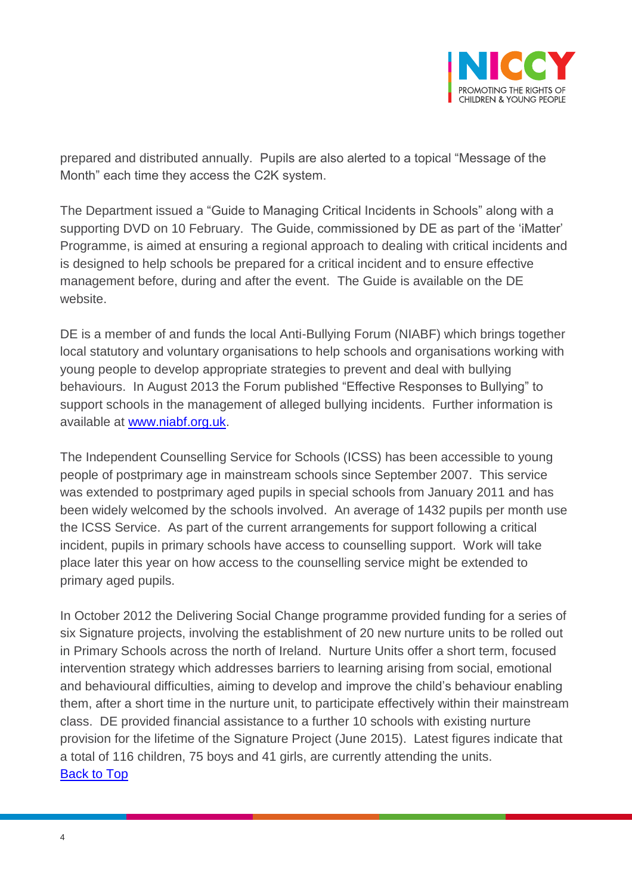

prepared and distributed annually. Pupils are also alerted to a topical "Message of the Month" each time they access the C2K system.

The Department issued a "Guide to Managing Critical Incidents in Schools" along with a supporting DVD on 10 February. The Guide, commissioned by DE as part of the 'iMatter' Programme, is aimed at ensuring a regional approach to dealing with critical incidents and is designed to help schools be prepared for a critical incident and to ensure effective management before, during and after the event. The Guide is available on the DE website.

DE is a member of and funds the local Anti-Bullying Forum (NIABF) which brings together local statutory and voluntary organisations to help schools and organisations working with young people to develop appropriate strategies to prevent and deal with bullying behaviours. In August 2013 the Forum published "Effective Responses to Bullying" to support schools in the management of alleged bullying incidents. Further information is available at [www.niabf.org.uk.](http://www.niabf.org.uk/)

The Independent Counselling Service for Schools (ICSS) has been accessible to young people of postprimary age in mainstream schools since September 2007. This service was extended to postprimary aged pupils in special schools from January 2011 and has been widely welcomed by the schools involved. An average of 1432 pupils per month use the ICSS Service. As part of the current arrangements for support following a critical incident, pupils in primary schools have access to counselling support. Work will take place later this year on how access to the counselling service might be extended to primary aged pupils.

In October 2012 the Delivering Social Change programme provided funding for a series of six Signature projects, involving the establishment of 20 new nurture units to be rolled out in Primary Schools across the north of Ireland. Nurture Units offer a short term, focused intervention strategy which addresses barriers to learning arising from social, emotional and behavioural difficulties, aiming to develop and improve the child's behaviour enabling them, after a short time in the nurture unit, to participate effectively within their mainstream class. DE provided financial assistance to a further 10 schools with existing nurture provision for the lifetime of the Signature Project (June 2015). Latest figures indicate that a total of 116 children, 75 boys and 41 girls, are currently attending the units. [Back to Top](#page-0-0)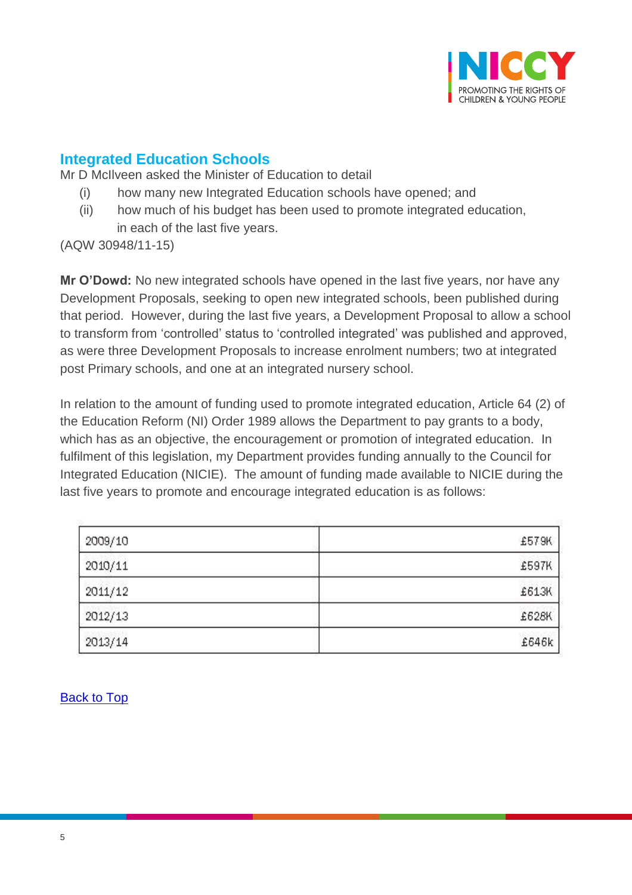

### <span id="page-4-0"></span>**Integrated Education Schools**

Mr D McIlveen asked the Minister of Education to detail

- (i) how many new Integrated Education schools have opened; and
- (ii) how much of his budget has been used to promote integrated education, in each of the last five years.

(AQW 30948/11-15)

**Mr O'Dowd:** No new integrated schools have opened in the last five years, nor have any Development Proposals, seeking to open new integrated schools, been published during that period. However, during the last five years, a Development Proposal to allow a school to transform from 'controlled' status to 'controlled integrated' was published and approved, as were three Development Proposals to increase enrolment numbers; two at integrated post Primary schools, and one at an integrated nursery school.

In relation to the amount of funding used to promote integrated education, Article 64 (2) of the Education Reform (NI) Order 1989 allows the Department to pay grants to a body, which has as an objective, the encouragement or promotion of integrated education. In fulfilment of this legislation, my Department provides funding annually to the Council for Integrated Education (NICIE). The amount of funding made available to NICIE during the last five years to promote and encourage integrated education is as follows:

<span id="page-4-1"></span>

| 2009/10 | £57.9K |
|---------|--------|
| 2010/11 | £597K  |
| 2011/12 | £613K  |
| 2012/13 | £628K  |
| 2013/14 | £646k  |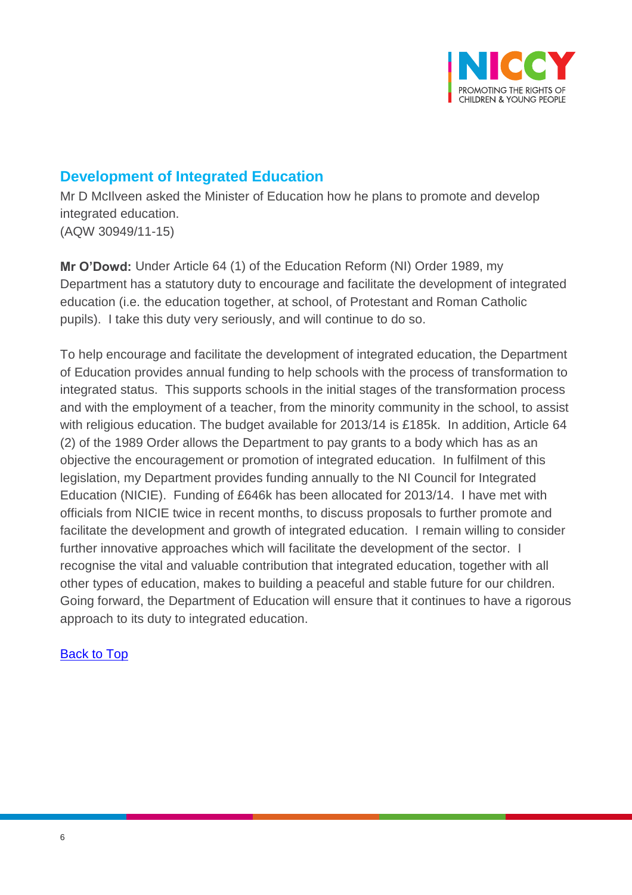

# **Development of Integrated Education**

Mr D McIlveen asked the Minister of Education how he plans to promote and develop integrated education. (AQW 30949/11-15)

**Mr O'Dowd:** Under Article 64 (1) of the Education Reform (NI) Order 1989, my Department has a statutory duty to encourage and facilitate the development of integrated education (i.e. the education together, at school, of Protestant and Roman Catholic pupils). I take this duty very seriously, and will continue to do so.

To help encourage and facilitate the development of integrated education, the Department of Education provides annual funding to help schools with the process of transformation to integrated status. This supports schools in the initial stages of the transformation process and with the employment of a teacher, from the minority community in the school, to assist with religious education. The budget available for 2013/14 is £185k. In addition, Article 64 (2) of the 1989 Order allows the Department to pay grants to a body which has as an objective the encouragement or promotion of integrated education. In fulfilment of this legislation, my Department provides funding annually to the NI Council for Integrated Education (NICIE). Funding of £646k has been allocated for 2013/14. I have met with officials from NICIE twice in recent months, to discuss proposals to further promote and facilitate the development and growth of integrated education. I remain willing to consider further innovative approaches which will facilitate the development of the sector. I recognise the vital and valuable contribution that integrated education, together with all other types of education, makes to building a peaceful and stable future for our children. Going forward, the Department of Education will ensure that it continues to have a rigorous approach to its duty to integrated education.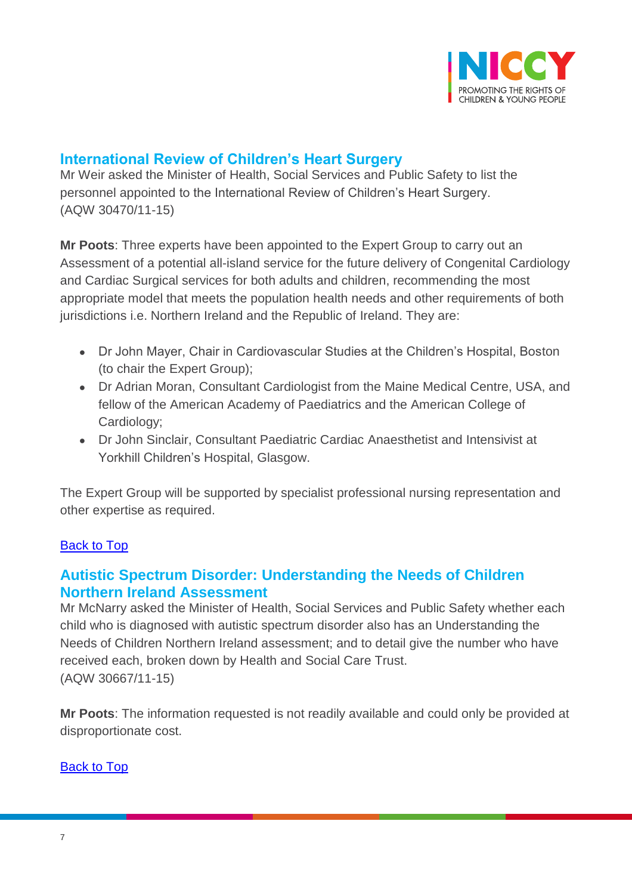

### <span id="page-6-0"></span>**International Review of Children's Heart Surgery**

Mr Weir asked the Minister of Health, Social Services and Public Safety to list the personnel appointed to the International Review of Children's Heart Surgery. (AQW 30470/11-15)

**Mr Poots**: Three experts have been appointed to the Expert Group to carry out an Assessment of a potential all-island service for the future delivery of Congenital Cardiology and Cardiac Surgical services for both adults and children, recommending the most appropriate model that meets the population health needs and other requirements of both jurisdictions i.e. Northern Ireland and the Republic of Ireland. They are:

- Dr John Mayer, Chair in Cardiovascular Studies at the Children's Hospital, Boston (to chair the Expert Group);
- Dr Adrian Moran, Consultant Cardiologist from the Maine Medical Centre, USA, and fellow of the American Academy of Paediatrics and the American College of Cardiology;
- Dr John Sinclair, Consultant Paediatric Cardiac Anaesthetist and Intensivist at Yorkhill Children's Hospital, Glasgow.

The Expert Group will be supported by specialist professional nursing representation and other expertise as required.

#### [Back to Top](#page-0-0)

### <span id="page-6-1"></span>**Autistic Spectrum Disorder: Understanding the Needs of Children Northern Ireland Assessment**

Mr McNarry asked the Minister of Health, Social Services and Public Safety whether each child who is diagnosed with autistic spectrum disorder also has an Understanding the Needs of Children Northern Ireland assessment; and to detail give the number who have received each, broken down by Health and Social Care Trust. (AQW 30667/11-15)

**Mr Poots**: The information requested is not readily available and could only be provided at disproportionate cost.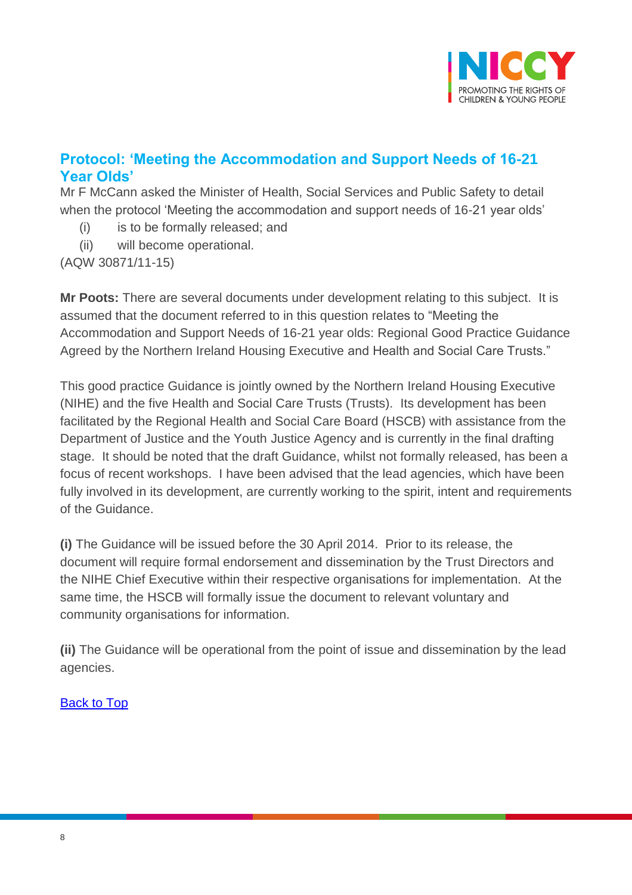

# <span id="page-7-0"></span>**Protocol: 'Meeting the Accommodation and Support Needs of 16-21 Year Olds'**

Mr F McCann asked the Minister of Health, Social Services and Public Safety to detail when the protocol 'Meeting the accommodation and support needs of 16-21 year olds'

- (i) is to be formally released; and
- (ii) will become operational.

(AQW 30871/11-15)

**Mr Poots:** There are several documents under development relating to this subject. It is assumed that the document referred to in this question relates to "Meeting the Accommodation and Support Needs of 16-21 year olds: Regional Good Practice Guidance Agreed by the Northern Ireland Housing Executive and Health and Social Care Trusts."

This good practice Guidance is jointly owned by the Northern Ireland Housing Executive (NIHE) and the five Health and Social Care Trusts (Trusts). Its development has been facilitated by the Regional Health and Social Care Board (HSCB) with assistance from the Department of Justice and the Youth Justice Agency and is currently in the final drafting stage. It should be noted that the draft Guidance, whilst not formally released, has been a focus of recent workshops. I have been advised that the lead agencies, which have been fully involved in its development, are currently working to the spirit, intent and requirements of the Guidance.

**(i)** The Guidance will be issued before the 30 April 2014. Prior to its release, the document will require formal endorsement and dissemination by the Trust Directors and the NIHE Chief Executive within their respective organisations for implementation. At the same time, the HSCB will formally issue the document to relevant voluntary and community organisations for information.

**(ii)** The Guidance will be operational from the point of issue and dissemination by the lead agencies.